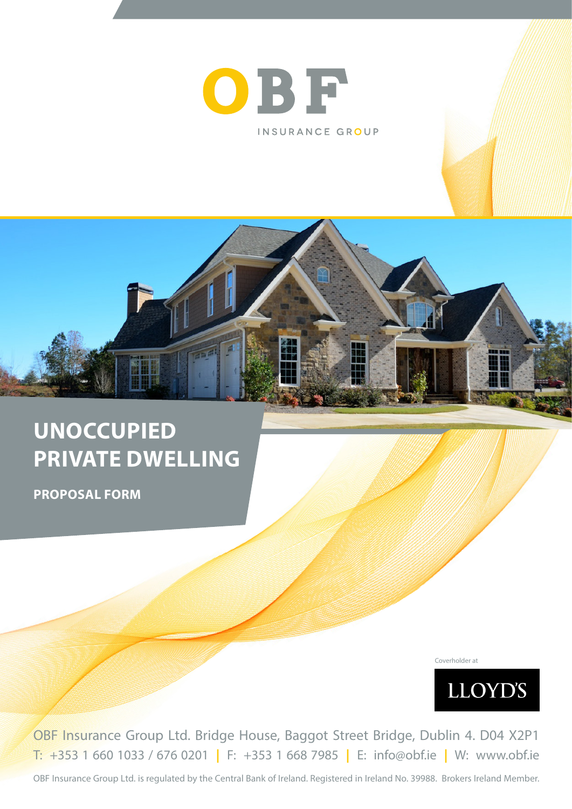

# **UNOCCUPIED PRIVATE DWELLING**

**PROPOSAL FORM**

Coverholder at



OBF Insurance Group Ltd. Bridge House, Baggot Street Bridge, Dublin 4. D04 X2P1 T: +353 1 660 1033 / 676 0201 **|** F: +353 1 668 7985 **|** E: info@obf.ie **|** W: www.obf.ie

OBF Insurance Group Ltd. is regulated by the Central Bank of Ireland. Registered in Ireland No. 39988. Brokers Ireland Member.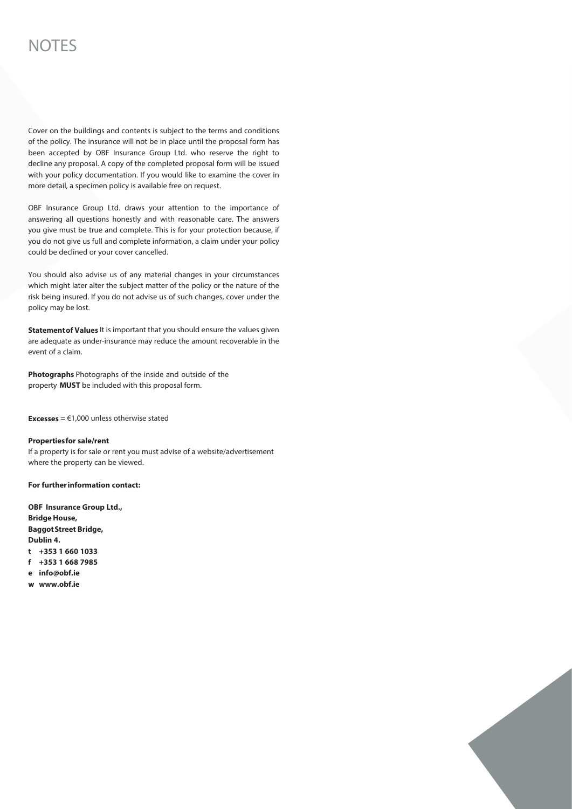### **NOTES**

Cover on the buildings and contents is subject to the terms and conditions of the policy. The insurance will not be in place until the proposal form has been accepted by OBF Insurance Group Ltd. who reserve the right to decline any proposal. A copy of the completed proposal form will be issued with your policy documentation. If you would like to examine the cover in more detail, a specimen policy is available free on request.

OBF Insurance Group Ltd. draws your attention to the importance of answering all questions honestly and with reasonable care. The answers you give must be true and complete. This is for your protection because, if you do not give us full and complete information, a claim under your policy could be declined or your cover cancelled.

You should also advise us of any material changes in your circumstances which might later alter the subject matter of the policy or the nature of the risk being insured. If you do not advise us of such changes, cover under the policy may be lost.

Statement of Values It is important that you should ensure the values given are adequate as under-insurance may reduce the amount recoverable in the event of a claim.

Photographs Photographs of the inside and outside of the property MUST be included with this proposal form.

**Excesses** =  $\epsilon$ 1.000 unless otherwise stated

**Propertiesfor sale/rent** If a property is for sale or rent you must advise of a website/advertisement where the property can be viewed.

For further information contact:

- **OBF Insurance Group Ltd., Bridge House, Baggot Street Bridge,** Dublin 4.  $t + 35316601033$  $f$  +353 1 668 7985 e info@obf.ie
- w www.obf.ie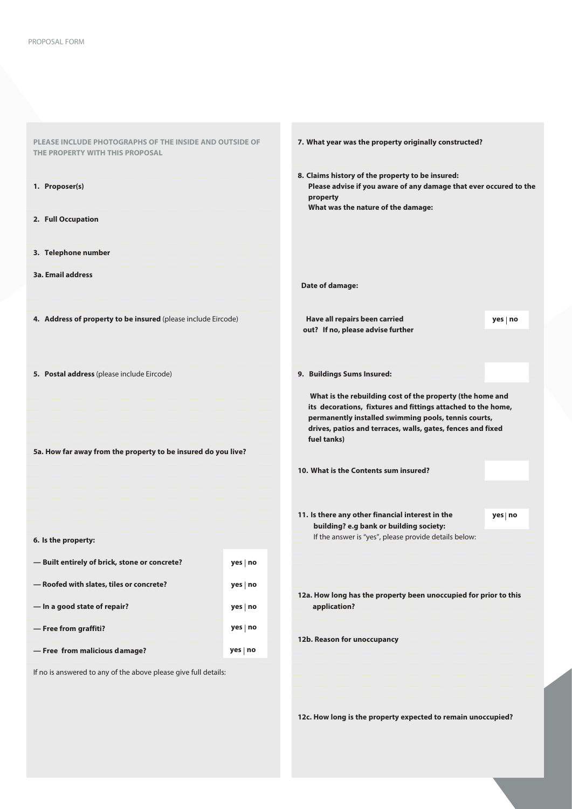| PLEASE INCLUDE PHOTOGRAPHS OF THE INSIDE AND OUTSIDE OF<br>THE PROPERTY WITH THIS PROPOSAL |               | 7. What year was the property originally constructed?                                                                                                                                                                                                           |          |
|--------------------------------------------------------------------------------------------|---------------|-----------------------------------------------------------------------------------------------------------------------------------------------------------------------------------------------------------------------------------------------------------------|----------|
| 1. Proposer(s)                                                                             |               | 8. Claims history of the property to be insured:<br>Please advise if you aware of any damage that ever occured to the<br>property<br>What was the nature of the damage:                                                                                         |          |
| 2. Full Occupation                                                                         |               |                                                                                                                                                                                                                                                                 |          |
| 3. Telephone number                                                                        |               |                                                                                                                                                                                                                                                                 |          |
| <b>3a. Email address</b>                                                                   |               | Date of damage:                                                                                                                                                                                                                                                 |          |
| 4. Address of property to be insured (please include Eircode)                              |               | Have all repairs been carried<br>out? If no, please advise further                                                                                                                                                                                              | yes   no |
| 5. Postal address (please include Eircode)                                                 |               | 9. Buildings Sums Insured:                                                                                                                                                                                                                                      |          |
| 5a. How far away from the property to be insured do you live?                              |               | What is the rebuilding cost of the property (the home and<br>its decorations, fixtures and fittings attached to the home,<br>permanently installed swimming pools, tennis courts,<br>drives, patios and terraces, walls, gates, fences and fixed<br>fuel tanks) |          |
|                                                                                            |               | 10. What is the Contents sum insured?                                                                                                                                                                                                                           |          |
| 6. Is the property:                                                                        |               | 11. Is there any other financial interest in the<br>building? e.g bank or building society:<br>If the answer is "yes", please provide details below:                                                                                                            | yes   no |
| - Built entirely of brick, stone or concrete?                                              | yes   no      |                                                                                                                                                                                                                                                                 |          |
| - Roofed with slates, tiles or concrete?                                                   | yes   no      |                                                                                                                                                                                                                                                                 |          |
| - In a good state of repair?                                                               | $yes \mid no$ | 12a. How long has the property been unoccupied for prior to this<br>application?                                                                                                                                                                                |          |
| - Free from graffiti?                                                                      | $yes \mid no$ |                                                                                                                                                                                                                                                                 |          |
| - Free from malicious damage?                                                              | yes   no      | 12b. Reason for unoccupancy                                                                                                                                                                                                                                     |          |
| If no is answered to any of the above please give full details:                            |               |                                                                                                                                                                                                                                                                 |          |

**12c. How long is the property expected to remain unoccupied?**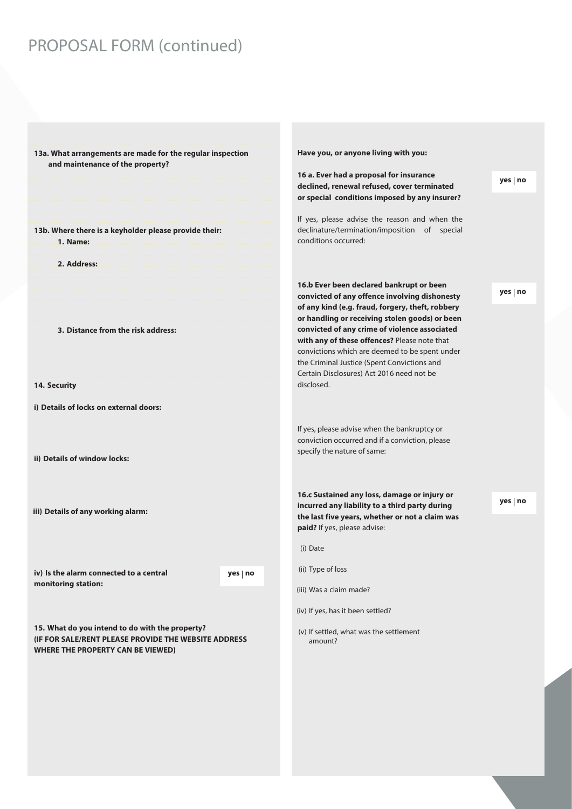## PROPOSAL FORM (continued)

| 13a. What arrangements are made for the regular inspection                                              | Have you, or anyone living with you:                                                            |
|---------------------------------------------------------------------------------------------------------|-------------------------------------------------------------------------------------------------|
| and maintenance of the property?                                                                        | 16 a. Ever had a proposal for insurance                                                         |
|                                                                                                         | yes   no<br>declined, renewal refused, cover terminated                                         |
|                                                                                                         | or special conditions imposed by any insurer?                                                   |
|                                                                                                         | If yes, please advise the reason and when the                                                   |
| 13b. Where there is a keyholder please provide their:                                                   | declinature/termination/imposition of special                                                   |
| 1. Name:                                                                                                | conditions occurred:                                                                            |
| 2. Address:                                                                                             |                                                                                                 |
|                                                                                                         | 16.b Ever been declared bankrupt or been                                                        |
|                                                                                                         | yes   no<br>convicted of any offence involving dishonesty                                       |
|                                                                                                         | of any kind (e.g. fraud, forgery, theft, robbery                                                |
| 3. Distance from the risk address:                                                                      | or handling or receiving stolen goods) or been<br>convicted of any crime of violence associated |
|                                                                                                         | with any of these offences? Please note that                                                    |
|                                                                                                         | convictions which are deemed to be spent under                                                  |
|                                                                                                         | the Criminal Justice (Spent Convictions and<br>Certain Disclosures) Act 2016 need not be        |
| 14. Security                                                                                            | disclosed.                                                                                      |
| i) Details of locks on external doors:                                                                  |                                                                                                 |
|                                                                                                         |                                                                                                 |
|                                                                                                         | If yes, please advise when the bankruptcy or                                                    |
|                                                                                                         | conviction occurred and if a conviction, please<br>specify the nature of same:                  |
| ii) Details of window locks:                                                                            |                                                                                                 |
|                                                                                                         |                                                                                                 |
|                                                                                                         | 16.c Sustained any loss, damage or injury or                                                    |
| iii) Details of any working alarm:                                                                      | yes   no<br>incurred any liability to a third party during                                      |
|                                                                                                         | the last five years, whether or not a claim was<br>paid? If yes, please advise:                 |
|                                                                                                         |                                                                                                 |
|                                                                                                         | (i) Date                                                                                        |
| iv) Is the alarm connected to a central<br>yes   no                                                     | (ii) Type of loss                                                                               |
| monitoring station:                                                                                     | (iii) Was a claim made?                                                                         |
|                                                                                                         |                                                                                                 |
|                                                                                                         | (iv) If yes, has it been settled?                                                               |
| 15. What do you intend to do with the property?<br>(IF FOR SALE/RENT PLEASE PROVIDE THE WEBSITE ADDRESS | (v) If settled, what was the settlement                                                         |
| <b>WHERE THE PROPERTY CAN BE VIEWED)</b>                                                                | amount?                                                                                         |
|                                                                                                         |                                                                                                 |
|                                                                                                         |                                                                                                 |
|                                                                                                         |                                                                                                 |
|                                                                                                         |                                                                                                 |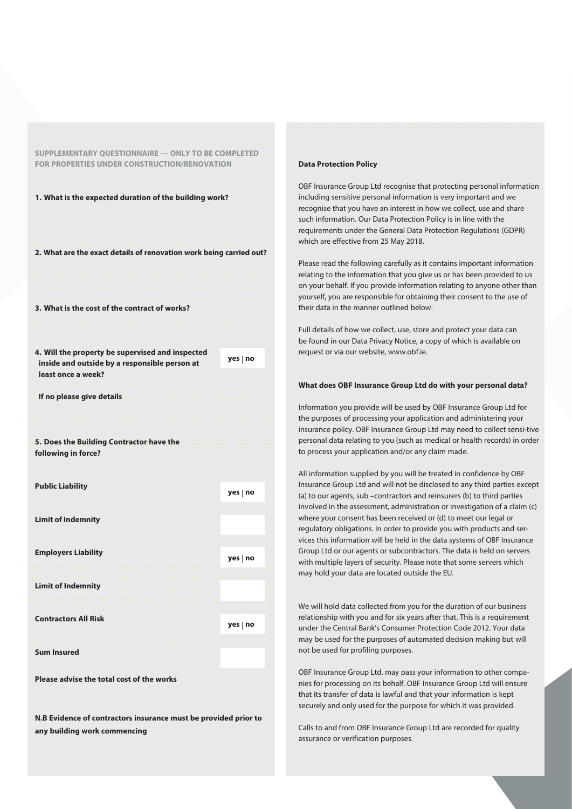

**N.B Evidence of contractors insurance must be provided prior to any building work commencing**

#### **Data Protection Policy**

OBF Insurance Group Ltd recognise that protecting personal information including sensitive personal information is very important and we recognise that you have an interest in how we collect, use and share such information. Our Data Protection Policy is in line with the requirements under the General Data Protection Regulations (GDPR) which are effective from 25 May 2018.

Please read the following carefully as it contains important information relating to the information that you give us or has been provided to us on your behalf. If you provide information relating to anyone other than yourself, you are responsible for obtaining their consent to the use of their data in the manner outlined below.

Full details of how we collect, use, store and protect your data can be found in our Data Privacy Notice, a copy of which is available on request or via our website, www.obf.ie.

#### **What does OBF Insurance Group Ltd do with your personal data?**

Information you provide will be used by OBF Insurance Group Ltd for the purposes of processing your application and administering your insurance policy. OBF Insurance Group Ltd may need to collect sensi-tive personal data relating to you (such as medical or health records) in order to process your application and/or any claim made.

All information supplied by you will be treated in confidence by OBF Insurance Group Ltd and will not be disclosed to any third parties except (a) to our agents, sub –contractors and reinsurers (b) to third parties involved in the assessment, administration or investigation of a claim (c) where your consent has been received or (d) to meet our legal or regulatory obligations. In order to provide you with products and services this information will be held in the data systems of OBF Insurance Group Ltd or our agents or subcontractors. The data is held on servers with multiple layers of security. Please note that some servers which may hold your data are located outside the EU.

We will hold data collected from you for the duration of our business relationship with you and for six years after that. This is a requirement under the Central Bank's Consumer Protection Code 2012. Your data may be used for the purposes of automated decision making but will not be used for profiling purposes.

OBF Insurance Group Ltd. may pass your information to other companies for processing on its behalf. OBF Insurance Group Ltd will ensure that its transfer of data is lawful and that your information is kept securely and only used for the purpose for which it was provided.

Calls to and from OBF Insurance Group Ltd are recorded for quality assurance or verification purposes.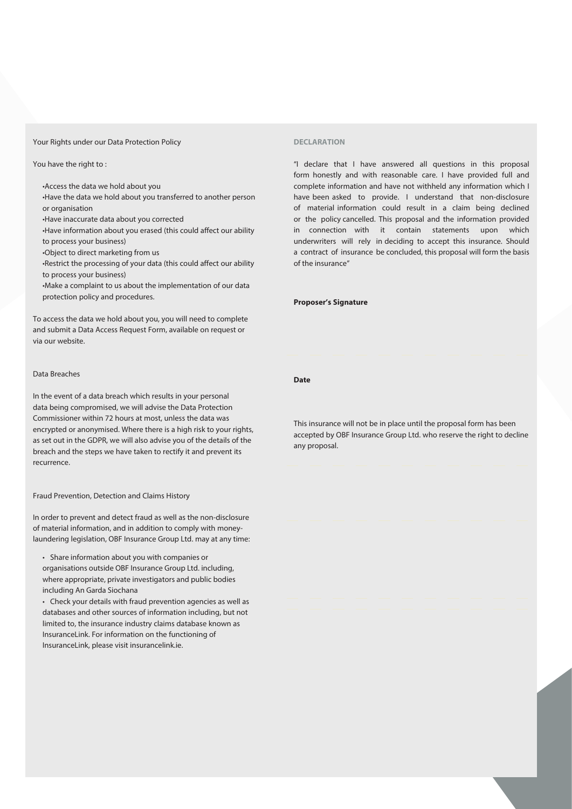#### Your Rights under our Data Protection Policy

You have the right to :

•Access the data we hold about you

•Have the data we hold about you transferred to another person or organisation

•Have inaccurate data about you corrected

•Have information about you erased (this could affect our ability to process your business)

•Object to direct marketing from us

•Restrict the processing of your data (this could affect our ability to process your business)

•Make a complaint to us about the implementation of our data protection policy and procedures.

To access the data we hold about you, you will need to complete and submit a Data Access Request Form, available on request or via our website.

#### Data Breaches

In the event of a data breach which results in your personal data being compromised, we will advise the Data Protection Commissioner within 72 hours at most, unless the data was encrypted or anonymised. Where there is a high risk to your rights, as set out in the GDPR, we will also advise you of the details of the breach and the steps we have taken to rectify it and prevent its recurrence.

#### Fraud Prevention, Detection and Claims History

In order to prevent and detect fraud as well as the non-disclosure of material information, and in addition to comply with moneylaundering legislation, OBF Insurance Group Ltd. may at any time:

• Share information about you with companies or organisations outside OBF Insurance Group Ltd. including, where appropriate, private investigators and public bodies including An Garda Siochana

• Check your details with fraud prevention agencies as well as databases and other sources of information including, but not limited to, the insurance industry claims database known as InsuranceLink. For information on the functioning of InsuranceLink, please visit insurancelink.ie.

#### **DECLARATION**

"I declare that I have answered all questions in this proposal form honestly and with reasonable care. I have provided full and complete information and have not withheld any information which I have been asked to provide. I understand that non-disclosure of material information could result in a claim being declined or the policy cancelled. This proposal and the information provided in connection with it contain statements upon which underwriters will rely in deciding to accept this insurance. Should a contract of insurance be concluded, this proposal will form the basis of the insurance"

#### **Proposer's Signature**

**Date** 

This insurance will not be in place until the proposal form has been accepted by OBF Insurance Group Ltd. who reserve the right to decline any proposal.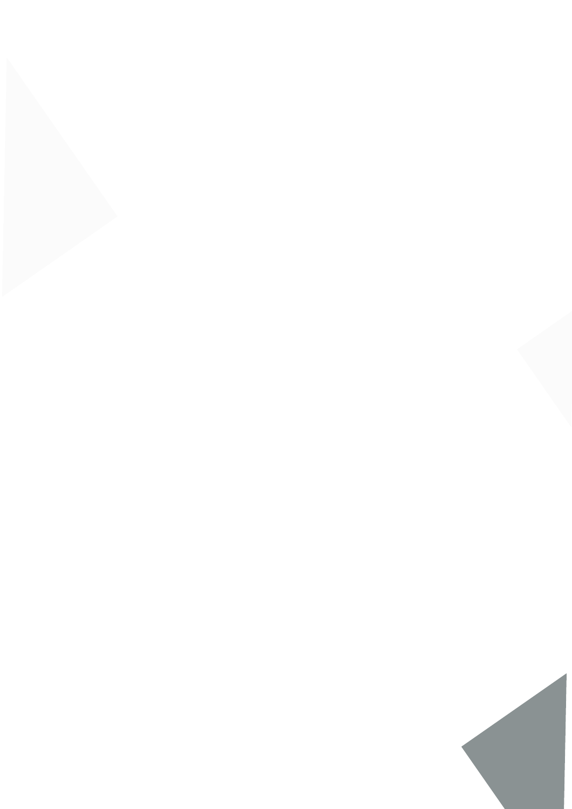